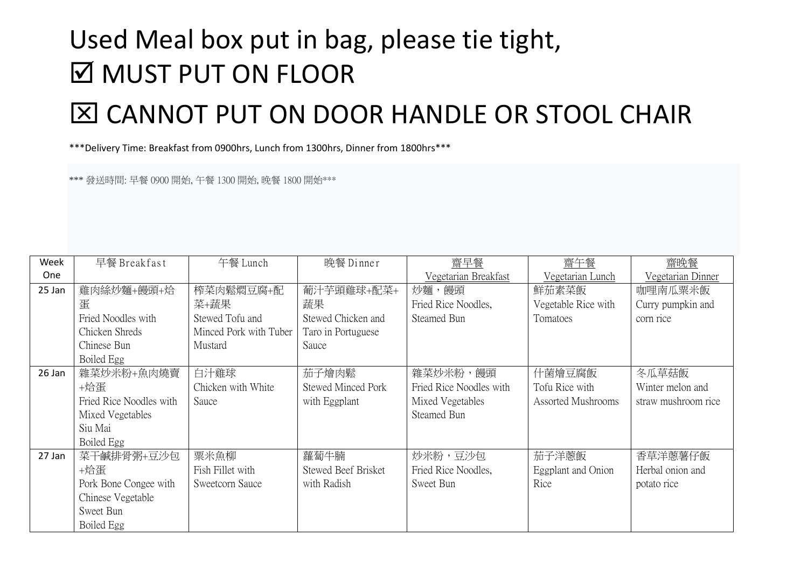## Used Meal box put in bag, please tie tight, **Ø MUST PUT ON FLOOR**

## CANNOT PUT ON DOOR HANDLE OR STOOL CHAIR

\*\*\*Delivery Time: Breakfast from 0900hrs, Lunch from 1300hrs, Dinner from 1800hrs\*\*\*

\*\*\* 發送時間: 早餐 0900 開始, 午餐 1300 開始, 晚餐 1800 開始\*\*\*

| Week   | 早餐 Breakfast            | 午餐 Lunch               | 晚餐 Dinner           | 齋早餐                     | 齋午餐                 | 齋晚餐                 |
|--------|-------------------------|------------------------|---------------------|-------------------------|---------------------|---------------------|
| One    |                         |                        |                     | Vegetarian Breakfast    | Vegetarian Lunch    | Vegetarian Dinner   |
| 25 Jan | 雞肉絲炒麵+饅頭+烚              | 榨菜肉鬆燜豆腐+配              | 葡汁芋頭雞球+配菜+          | 炒麵,饅頭                   | 鮮茄素菜飯               | 咖哩南瓜粟米飯             |
|        | 蛋                       | 菜+蔬果                   | 蔬果                  | Fried Rice Noodles,     | Vegetable Rice with | Curry pumpkin and   |
|        | Fried Noodles with      | Stewed Tofu and        | Stewed Chicken and  | Steamed Bun             | Tomatoes            | corn rice           |
|        | Chicken Shreds          | Minced Pork with Tuber | Taro in Portuguese  |                         |                     |                     |
|        | Chinese Bun             | Mustard                | Sauce               |                         |                     |                     |
|        | Boiled Egg              |                        |                     |                         |                     |                     |
| 26 Jan | 雜菜炒米粉+魚肉燒賣              | 白汁雞球                   | 茄子燴肉鬆               | 雜菜炒米粉,饅頭                | 什菌燴豆腐飯              | 冬瓜草菇飯               |
|        | +烚蛋                     | Chicken with White     | Stewed Minced Pork  | Fried Rice Noodles with | Tofu Rice with      | Winter melon and    |
|        | Fried Rice Noodles with | Sauce                  | with Eggplant       | Mixed Vegetables        | Assorted Mushrooms  | straw mushroom rice |
|        | Mixed Vegetables        |                        |                     | <b>Steamed Bun</b>      |                     |                     |
|        | Siu Mai                 |                        |                     |                         |                     |                     |
|        | Boiled Egg              |                        |                     |                         |                     |                     |
| 27 Jan | 菜干鹹排骨粥+豆沙包              | 粟米魚柳                   | 蘿蔔牛腩                | 炒米粉,豆沙包                 | 茄子洋蔥飯               | 香草洋蔥薯仔飯             |
|        | +烚蛋                     | Fish Fillet with       | Stewed Beef Brisket | Fried Rice Noodles,     | Eggplant and Onion  | Herbal onion and    |
|        | Pork Bone Congee with   | Sweetcorn Sauce        | with Radish         | Sweet Bun               | Rice                | potato rice         |
|        | Chinese Vegetable       |                        |                     |                         |                     |                     |
|        | Sweet Bun               |                        |                     |                         |                     |                     |
|        | Boiled Egg              |                        |                     |                         |                     |                     |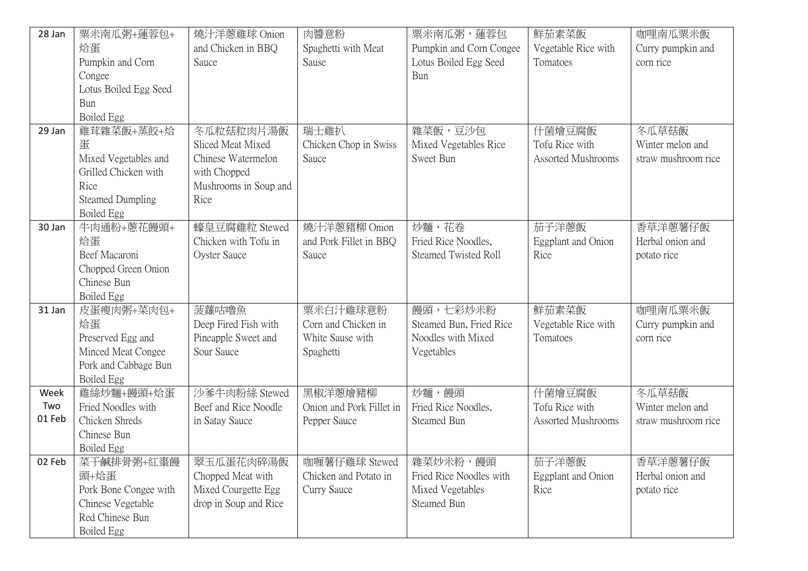| 28 Jan | 粟米南瓜粥+蓮蓉包+              | 燒汁洋蔥雞球 Onion          | 肉醬意粉                     | 粟米南瓜粥, 蓮蓉包                  | 鮮茄素菜飯               | 咖哩南瓜粟米飯             |
|--------|-------------------------|-----------------------|--------------------------|-----------------------------|---------------------|---------------------|
|        | 烚蛋                      | and Chicken in BBQ    | Spaghetti with Meat      | Pumpkin and Corn Congee     | Vegetable Rice with | Curry pumpkin and   |
|        | Pumpkin and Corn        | Sauce                 | Sause                    | Lotus Boiled Egg Seed       | Tomatoes            | corn rice           |
|        | Congee                  |                       |                          | Bun                         |                     |                     |
|        | Lotus Boiled Egg Seed   |                       |                          |                             |                     |                     |
|        | Bun                     |                       |                          |                             |                     |                     |
|        | Boiled Egg              |                       |                          |                             |                     |                     |
| 29 Jan | 雞茸雜菜飯+蒸餃+姶              | 冬瓜粒菇粒肉片湯飯             | 瑞士雞扒                     | 雜菜飯,豆沙包                     | 什菌燴豆腐飯              | 冬瓜草菇飯               |
|        | 蛋                       | Sliced Meat Mixed     | Chicken Chop in Swiss    | Mixed Vegetables Rice       | Tofu Rice with      | Winter melon and    |
|        | Mixed Vegetables and    | Chinese Watermelon    | Sauce                    | Sweet Bun                   | Assorted Mushrooms  | straw mushroom rice |
|        | Grilled Chicken with    | with Chopped          |                          |                             |                     |                     |
|        | Rice                    | Mushrooms in Soup and |                          |                             |                     |                     |
|        | <b>Steamed Dumpling</b> | Rice                  |                          |                             |                     |                     |
|        | Boiled Egg              |                       |                          |                             |                     |                     |
| 30 Jan | 牛肉通粉+蒽花饅頭+              | 蠔皇豆腐雞粒 Stewed         | 燒汁洋蔥豬柳 Onion             | 炒麵,花卷                       | 茄子洋蔥飯               | 香草洋蔥薯仔飯             |
|        | 烚蛋                      | Chicken with Tofu in  | and Pork Fillet in BBQ   | Fried Rice Noodles,         | Eggplant and Onion  | Herbal onion and    |
|        | Beef Macaroni           | <b>Oyster Sauce</b>   | Sauce                    | <b>Steamed Twisted Roll</b> | Rice                | potato rice         |
|        | Chopped Green Onion     |                       |                          |                             |                     |                     |
|        | Chinese Bun             |                       |                          |                             |                     |                     |
|        | Boiled Egg              |                       |                          |                             |                     |                     |
| 31 Jan | 皮蛋瘦肉粥+菜肉包+              | 菠蘿咕嚕魚                 | 粟米白汁雞球意粉                 | 饅頭,七彩炒米粉                    | 鮮茄素菜飯               | 咖哩南瓜粟米飯             |
|        | 烚蛋                      | Deep Fired Fish with  | Corn and Chicken in      | Steamed Bun, Fried Rice     | Vegetable Rice with | Curry pumpkin and   |
|        | Preserved Egg and       | Pineapple Sweet and   | White Sause with         | Noodles with Mixed          | Tomatoes            | corn rice           |
|        | Minced Meat Congee      | Sour Sauce            | Spaghetti                | Vegetables                  |                     |                     |
|        | Pork and Cabbage Bun    |                       |                          |                             |                     |                     |
|        | Boiled Egg              |                       |                          |                             |                     |                     |
| Week   | 雞絲炒麵+饅頭+姶蛋              | 沙爹牛肉粉絲 Stewed         | 黑椒洋蔥燴豬柳                  | 炒麵,饅頭                       | 什菌燴豆腐飯              | 冬瓜草菇飯               |
| Two    | Fried Noodles with      | Beef and Rice Noodle  | Onion and Pork Fillet in | Fried Rice Noodles,         | Tofu Rice with      | Winter melon and    |
| 01 Feb | Chicken Shreds          | in Satay Sauce        | Pepper Sauce             | Steamed Bun                 | Assorted Mushrooms  | straw mushroom rice |
|        | Chinese Bun             |                       |                          |                             |                     |                     |
|        | Boiled Egg              |                       |                          |                             |                     |                     |
| 02 Feb | 菜干鹹排骨粥+紅棗饅              | 翠玉瓜蛋花肉碎湯飯             | 咖喱薯仔雞球 Stewed            | 雜菜炒米粉,饅頭                    | 茄子洋蔥飯               | 香草洋蔥薯仔飯             |
|        | 頭+烚蛋                    | Chopped Meat with     | Chicken and Potato in    | Fried Rice Noodles with     | Eggplant and Onion  | Herbal onion and    |
|        | Pork Bone Congee with   | Mixed Courgette Egg   | Curry Sauce              | Mixed Vegetables            | Rice                | potato rice         |
|        | Chinese Vegetable       | drop in Soup and Rice |                          | Steamed Bun                 |                     |                     |
|        | Red Chinese Bun         |                       |                          |                             |                     |                     |
|        | Boiled Egg              |                       |                          |                             |                     |                     |